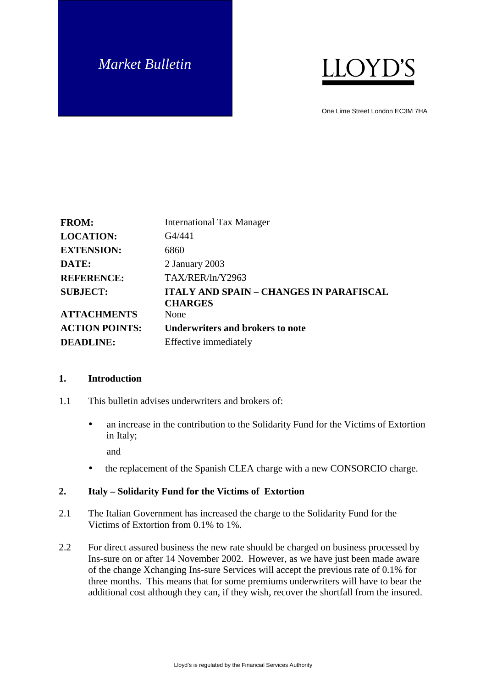# *Market Bulletin*



One Lime Street London EC3M 7HA

| <b>FROM:</b>          | <b>International Tax Manager</b>                                 |
|-----------------------|------------------------------------------------------------------|
| <b>LOCATION:</b>      | G4/441                                                           |
| <b>EXTENSION:</b>     | 6860                                                             |
| DATE:                 | 2 January 2003                                                   |
| <b>REFERENCE:</b>     | TAX/RER/ln/Y2963                                                 |
| <b>SUBJECT:</b>       | <b>ITALY AND SPAIN - CHANGES IN PARAFISCAL</b><br><b>CHARGES</b> |
| <b>ATTACHMENTS</b>    | None                                                             |
| <b>ACTION POINTS:</b> | <b>Underwriters and brokers to note</b>                          |
| <b>DEADLINE:</b>      | Effective immediately                                            |

#### **1. Introduction**

- 1.1 This bulletin advises underwriters and brokers of:
	- an increase in the contribution to the Solidarity Fund for the Victims of Extortion in Italy; and
	- the replacement of the Spanish CLEA charge with a new CONSORCIO charge.

#### **2. Italy – Solidarity Fund for the Victims of Extortion**

- 2.1 The Italian Government has increased the charge to the Solidarity Fund for the Victims of Extortion from 0.1% to 1%.
- 2.2 For direct assured business the new rate should be charged on business processed by Ins-sure on or after 14 November 2002. However, as we have just been made aware of the change Xchanging Ins-sure Services will accept the previous rate of 0.1% for three months. This means that for some premiums underwriters will have to bear the additional cost although they can, if they wish, recover the shortfall from the insured.